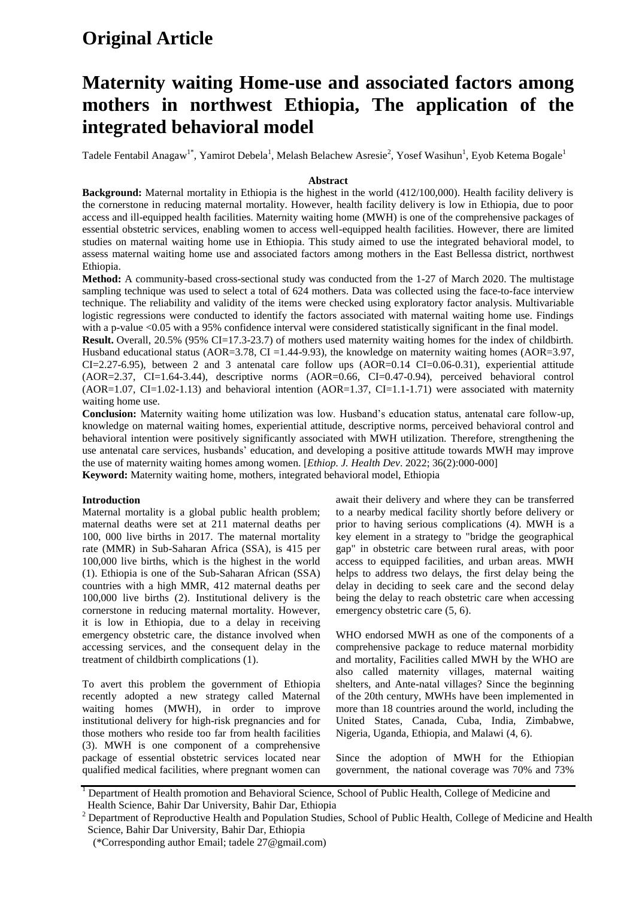# **Original Article**

# **Maternity waiting Home-use and associated factors among mothers in northwest Ethiopia, The application of the integrated behavioral model**

Tadele Fentabil Anagaw<sup>1\*</sup>, Yamirot Debela<sup>1</sup>, Melash Belachew Asresie<sup>2</sup>, Yosef Wasihun<sup>1</sup>, Eyob Ketema Bogale<sup>1</sup>

## **Abstract**

**Background:** Maternal mortality in Ethiopia is the highest in the world (412/100,000). Health facility delivery is the cornerstone in reducing maternal mortality. However, health facility delivery is low in Ethiopia, due to poor access and ill-equipped health facilities. Maternity waiting home (MWH) is one of the comprehensive packages of essential obstetric services, enabling women to access well-equipped health facilities. However, there are limited studies on maternal waiting home use in Ethiopia. This study aimed to use the integrated behavioral model, to assess maternal waiting home use and associated factors among mothers in the East Bellessa district, northwest Ethiopia.

**Method:** A community-based cross-sectional study was conducted from the 1-27 of March 2020. The multistage sampling technique was used to select a total of 624 mothers. Data was collected using the face-to-face interview technique. The reliability and validity of the items were checked using exploratory factor analysis. Multivariable logistic regressions were conducted to identify the factors associated with maternal waiting home use. Findings with a p-value <0.05 with a 95% confidence interval were considered statistically significant in the final model.

**Result.** Overall, 20.5% (95% CI=17.3-23.7) of mothers used maternity waiting homes for the index of childbirth. Husband educational status (AOR=3.78, CI =1.44-9.93), the knowledge on maternity waiting homes (AOR=3.97,  $CI = 2.27 - 6.95$ ), between 2 and 3 antenatal care follow ups  $(AOR = 0.14 \text{ CI} = 0.06 - 0.31)$ , experiential attitude (AOR=2.37, CI=1.64-3.44), descriptive norms (AOR=0.66, CI=0.47-0.94), perceived behavioral control  $(AOR=1.07, CI=1.02-1.13)$  and behavioral intention  $(AOR=1.37, CI=1.1-1.71)$  were associated with maternity waiting home use.

**Conclusion:** Maternity waiting home utilization was low. Husband's education status, antenatal care follow-up, knowledge on maternal waiting homes, experiential attitude, descriptive norms, perceived behavioral control and behavioral intention were positively significantly associated with MWH utilization. Therefore, strengthening the use antenatal care services, husbands' education, and developing a positive attitude towards MWH may improve the use of maternity waiting homes among women. [*Ethiop. J. Health Dev*. 2022; 36(2):000-000] **Keyword:** Maternity waiting home, mothers, integrated behavioral model, Ethiopia

# **Introduction**

Maternal mortality is a global public health problem; maternal deaths were set at 211 maternal deaths per 100, 000 live births in 2017. The maternal mortality rate (MMR) in Sub-Saharan Africa (SSA), is 415 per 100,000 live births, which is the highest in the world [\(1\)](https://docs.google.com/document/d/1_-JhNZ7AFwzEz7lM2wKvu2m9FeaugsLIImSS9F3JYzE/edit#heading=h.1fob9te). Ethiopia is one of the Sub-Saharan African (SSA) countries with a high MMR, 412 maternal deaths per 100,000 live births [\(2\)](https://docs.google.com/document/d/1_-JhNZ7AFwzEz7lM2wKvu2m9FeaugsLIImSS9F3JYzE/edit#heading=h.3znysh7). Institutional delivery is the cornerstone in reducing maternal mortality. However, it is low in Ethiopia, due to a delay in receiving emergency obstetric care, the distance involved when accessing services, and the consequent delay in the treatment of childbirth complications [\(1\)](https://docs.google.com/document/d/1_-JhNZ7AFwzEz7lM2wKvu2m9FeaugsLIImSS9F3JYzE/edit#heading=h.1fob9te).

To avert this problem the government of Ethiopia recently adopted a new strategy called Maternal waiting homes (MWH), in order to improve institutional delivery for high-risk pregnancies and for those mothers who reside too far from health facilities [\(3\)](https://docs.google.com/document/d/1_-JhNZ7AFwzEz7lM2wKvu2m9FeaugsLIImSS9F3JYzE/edit#heading=h.2et92p0). MWH is one component of a comprehensive package of essential obstetric services located near qualified medical facilities, where pregnant women can await their delivery and where they can be transferred to a nearby medical facility shortly before delivery or prior to having serious complications [\(4\)](https://docs.google.com/document/d/1_-JhNZ7AFwzEz7lM2wKvu2m9FeaugsLIImSS9F3JYzE/edit#heading=h.tyjcwt). MWH is a key element in a strategy to "bridge the geographical gap" in obstetric care between rural areas, with poor access to equipped facilities, and urban areas. MWH helps to address two delays, the first delay being the delay in deciding to seek care and the second delay being the delay to reach obstetric care when accessing emergency obstetric care [\(5,](https://docs.google.com/document/d/1_-JhNZ7AFwzEz7lM2wKvu2m9FeaugsLIImSS9F3JYzE/edit#heading=h.3dy6vkm) [6\)](https://docs.google.com/document/d/1_-JhNZ7AFwzEz7lM2wKvu2m9FeaugsLIImSS9F3JYzE/edit#heading=h.1t3h5sf).

WHO endorsed MWH as one of the components of a comprehensive package to reduce maternal morbidity and mortality, Facilities called MWH by the WHO are also called maternity villages, maternal waiting shelters, and Ante-natal villages? Since the beginning of the 20th century, MWHs have been implemented in more than 18 countries around the world, including the United States, Canada, Cuba, India, Zimbabwe, Nigeria, Uganda, Ethiopia, and Malawi [\(4,](https://docs.google.com/document/d/1_-JhNZ7AFwzEz7lM2wKvu2m9FeaugsLIImSS9F3JYzE/edit#heading=h.tyjcwt) [6\)](https://docs.google.com/document/d/1_-JhNZ7AFwzEz7lM2wKvu2m9FeaugsLIImSS9F3JYzE/edit#heading=h.1t3h5sf).

Since the adoption of MWH for the Ethiopian government, the national coverage was 70% and 73%

<sup>&</sup>lt;sup>1</sup> Department of Health promotion and Behavioral Science, School of Public Health, College of Medicine and Health Science, Bahir Dar University, Bahir Dar, Ethiopia

 $2$  Department of Reproductive Health and Population Studies, School of Public Health, College of Medicine and Health Science, Bahir Dar University, Bahir Dar, Ethiopia

 <sup>(\*</sup>Corresponding author Email; tadele 27@gmail.com)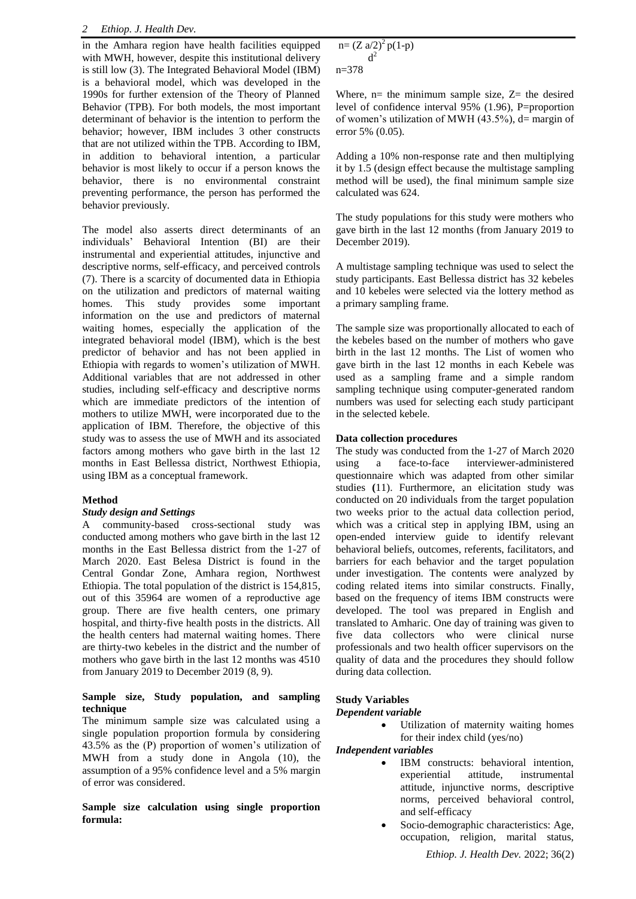in the Amhara region have health facilities equipped with MWH, however, despite this institutional delivery is still low [\(3\)](https://docs.google.com/document/d/1_-JhNZ7AFwzEz7lM2wKvu2m9FeaugsLIImSS9F3JYzE/edit#heading=h.2et92p0). The Integrated Behavioral Model (IBM) is a behavioral model, which was developed in the 1990s for further extension of the Theory of Planned Behavior (TPB). For both models, the most important determinant of behavior is the intention to perform the behavior; however, IBM includes 3 other constructs that are not utilized within the TPB. According to IBM, in addition to behavioral intention, a particular behavior is most likely to occur if a person knows the behavior, there is no environmental constraint preventing performance, the person has performed the behavior previously.

The model also asserts direct determinants of an individuals' Behavioral Intention (BI) are their instrumental and experiential attitudes, injunctive and descriptive norms, self-efficacy, and perceived controls [\(7\)](https://docs.google.com/document/d/1_-JhNZ7AFwzEz7lM2wKvu2m9FeaugsLIImSS9F3JYzE/edit#heading=h.4d34og8). There is a scarcity of documented data in Ethiopia on the utilization and predictors of maternal waiting homes. This study provides some important information on the use and predictors of maternal waiting homes, especially the application of the integrated behavioral model (IBM), which is the best predictor of behavior and has not been applied in Ethiopia with regards to women's utilization of MWH. Additional variables that are not addressed in other studies, including self-efficacy and descriptive norms which are immediate predictors of the intention of mothers to utilize MWH, were incorporated due to the application of IBM. Therefore, the objective of this study was to assess the use of MWH and its associated factors among mothers who gave birth in the last 12 months in East Bellessa district, Northwest Ethiopia, using IBM as a conceptual framework.

# **Method**

# *Study design and Settings*

A community-based cross-sectional study was conducted among mothers who gave birth in the last 12 months in the East Bellessa district from the 1-27 of March 2020. East Belesa District is found in the Central Gondar Zone, Amhara region, Northwest Ethiopia. The total population of the district is 154,815, out of this 35964 are women of a reproductive age group. There are five health centers, one primary hospital, and thirty-five health posts in the districts. All the health centers had maternal waiting homes. There are thirty-two kebeles in the district and the number of mothers who gave birth in the last 12 months was 4510 from January 2019 to December 2019 [\(8,](https://docs.google.com/document/d/1_-JhNZ7AFwzEz7lM2wKvu2m9FeaugsLIImSS9F3JYzE/edit#heading=h.2s8eyo1) [9\)](https://docs.google.com/document/d/1_-JhNZ7AFwzEz7lM2wKvu2m9FeaugsLIImSS9F3JYzE/edit#heading=h.17dp8vu).

# **Sample size, Study population, and sampling technique**

The minimum sample size was calculated using a single population proportion formula by considering 43.5% as the (P) proportion of women's utilization of MWH from a study done in Angola [\(10\)](https://docs.google.com/document/d/1_-JhNZ7AFwzEz7lM2wKvu2m9FeaugsLIImSS9F3JYzE/edit#heading=h.3rdcrjn), the assumption of a 95% confidence level and a 5% margin of error was considered.

**Sample size calculation using single proportion formula:**

 $n = (Z \frac{a}{2})^2 p(1-p)$  $d^2$ n=378

Where,  $n=$  the minimum sample size,  $Z=$  the desired level of confidence interval 95% (1.96), P=proportion of women's utilization of MWH  $(43.5\%)$ , d= margin of error 5% (0.05).

Adding a 10% non-response rate and then multiplying it by 1.5 (design effect because the multistage sampling method will be used), the final minimum sample size calculated was 624.

The study populations for this study were mothers who gave birth in the last 12 months (from January 2019 to December 2019).

A multistage sampling technique was used to select the study participants. East Bellessa district has 32 kebeles and 10 kebeles were selected via the lottery method as a primary sampling frame.

The sample size was proportionally allocated to each of the kebeles based on the number of mothers who gave birth in the last 12 months. The List of women who gave birth in the last 12 months in each Kebele was used as a sampling frame and a simple random sampling technique using computer-generated random numbers was used for selecting each study participant in the selected kebele.

# **Data collection procedures**

The study was conducted from the 1-27 of March 2020 using a face-to-face interviewer-administered questionnaire which was adapted from other similar studies **(**[11\)](https://docs.google.com/document/d/1_-JhNZ7AFwzEz7lM2wKvu2m9FeaugsLIImSS9F3JYzE/edit#heading=h.26in1rg). Furthermore, an elicitation study was conducted on 20 individuals from the target population two weeks prior to the actual data collection period, which was a critical step in applying IBM, using an open-ended interview guide to identify relevant behavioral beliefs, outcomes, referents, facilitators, and barriers for each behavior and the target population under investigation. The contents were analyzed by coding related items into similar constructs. Finally, based on the frequency of items IBM constructs were developed. The tool was prepared in English and translated to Amharic. One day of training was given to five data collectors who were clinical nurse professionals and two health officer supervisors on the quality of data and the procedures they should follow during data collection.

# **Study Variables**

# *Dependent variable*

 Utilization of maternity waiting homes for their index child (yes/no)

*Independent variables* 

- IBM constructs: behavioral intention, experiential attitude, instrumental attitude, injunctive norms, descriptive norms, perceived behavioral control, and self-efficacy
- Socio-demographic characteristics: Age, occupation, religion, marital status,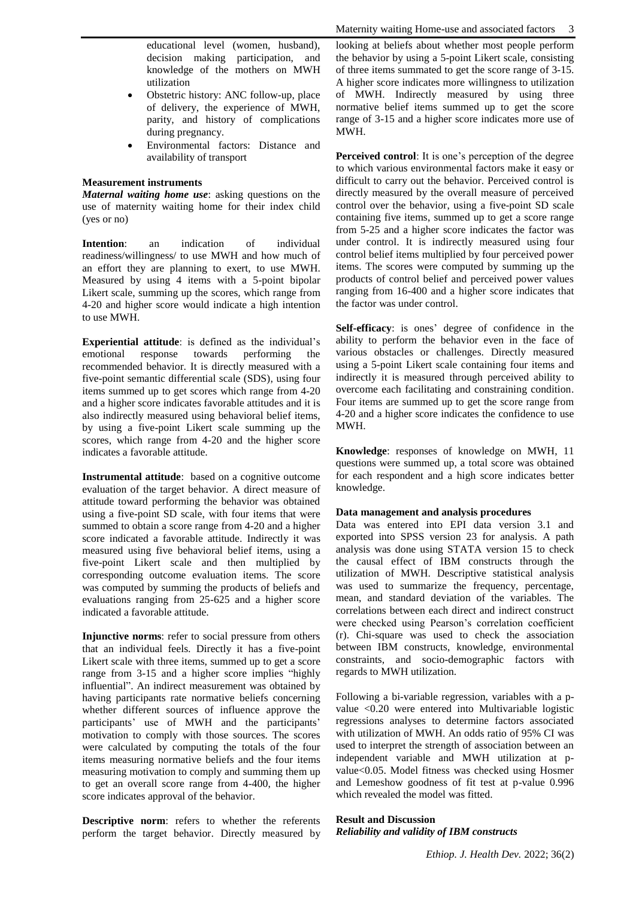educational level (women, husband), decision making participation, and knowledge of the mothers on MWH utilization

- Obstetric history: ANC follow-up, place of delivery, the experience of MWH, parity, and history of complications during pregnancy.
- Environmental factors: Distance and availability of transport

#### **Measurement instruments**

*Maternal waiting home use*: asking questions on the use of maternity waiting home for their index child (yes or no)

**Intention**: an indication of individual readiness/willingness/ to use MWH and how much of an effort they are planning to exert, to use MWH. Measured by using 4 items with a 5-point bipolar Likert scale, summing up the scores, which range from 4-20 and higher score would indicate a high intention to use MWH.

**Experiential attitude**: is defined as the individual's emotional response towards performing the recommended behavior. It is directly measured with a five-point semantic differential scale (SDS), using four items summed up to get scores which range from 4-20 and a higher score indicates favorable attitudes and it is also indirectly measured using behavioral belief items, by using a five-point Likert scale summing up the scores, which range from 4-20 and the higher score indicates a favorable attitude.

**Instrumental attitude**: based on a cognitive outcome evaluation of the target behavior. A direct measure of attitude toward performing the behavior was obtained using a five-point SD scale, with four items that were summed to obtain a score range from 4-20 and a higher score indicated a favorable attitude. Indirectly it was measured using five behavioral belief items, using a five-point Likert scale and then multiplied by corresponding outcome evaluation items. The score was computed by summing the products of beliefs and evaluations ranging from 25-625 and a higher score indicated a favorable attitude.

**Injunctive norms**: refer to social pressure from others that an individual feels. Directly it has a five-point Likert scale with three items, summed up to get a score range from 3-15 and a higher score implies "highly influential". An indirect measurement was obtained by having participants rate normative beliefs concerning whether different sources of influence approve the participants' use of MWH and the participants' motivation to comply with those sources. The scores were calculated by computing the totals of the four items measuring normative beliefs and the four items measuring motivation to comply and summing them up to get an overall score range from 4-400, the higher score indicates approval of the behavior.

**Descriptive norm**: refers to whether the referents perform the target behavior. Directly measured by looking at beliefs about whether most people perform the behavior by using a 5-point Likert scale, consisting of three items summated to get the score range of 3-15. A higher score indicates more willingness to utilization of MWH. Indirectly measured by using three normative belief items summed up to get the score range of 3-15 and a higher score indicates more use of MWH.

**Perceived control**: It is one's perception of the degree to which various environmental factors make it easy or difficult to carry out the behavior. Perceived control is directly measured by the overall measure of perceived control over the behavior, using a five-point SD scale containing five items, summed up to get a score range from 5-25 and a higher score indicates the factor was under control. It is indirectly measured using four control belief items multiplied by four perceived power items. The scores were computed by summing up the products of control belief and perceived power values ranging from 16-400 and a higher score indicates that the factor was under control.

**Self-efficacy**: is ones' degree of confidence in the ability to perform the behavior even in the face of various obstacles or challenges. Directly measured using a 5-point Likert scale containing four items and indirectly it is measured through perceived ability to overcome each facilitating and constraining condition. Four items are summed up to get the score range from 4-20 and a higher score indicates the confidence to use MWH.

**Knowledge**: responses of knowledge on MWH, 11 questions were summed up, a total score was obtained for each respondent and a high score indicates better knowledge.

#### **Data management and analysis procedures**

Data was entered into EPI data version 3.1 and exported into SPSS version 23 for analysis. A path analysis was done using STATA version 15 to check the causal effect of IBM constructs through the utilization of MWH. Descriptive statistical analysis was used to summarize the frequency, percentage, mean, and standard deviation of the variables. The correlations between each direct and indirect construct were checked using Pearson's correlation coefficient (r). Chi-square was used to check the association between IBM constructs, knowledge, environmental constraints, and socio-demographic factors with regards to MWH utilization.

Following a bi-variable regression, variables with a pvalue <0.20 were entered into Multivariable logistic regressions analyses to determine factors associated with utilization of MWH. An odds ratio of 95% CI was used to interpret the strength of association between an independent variable and MWH utilization at pvalue<0.05. Model fitness was checked using Hosmer and Lemeshow goodness of fit test at p-value 0.996 which revealed the model was fitted.

## **Result and Discussion**

*Reliability and validity of IBM constructs*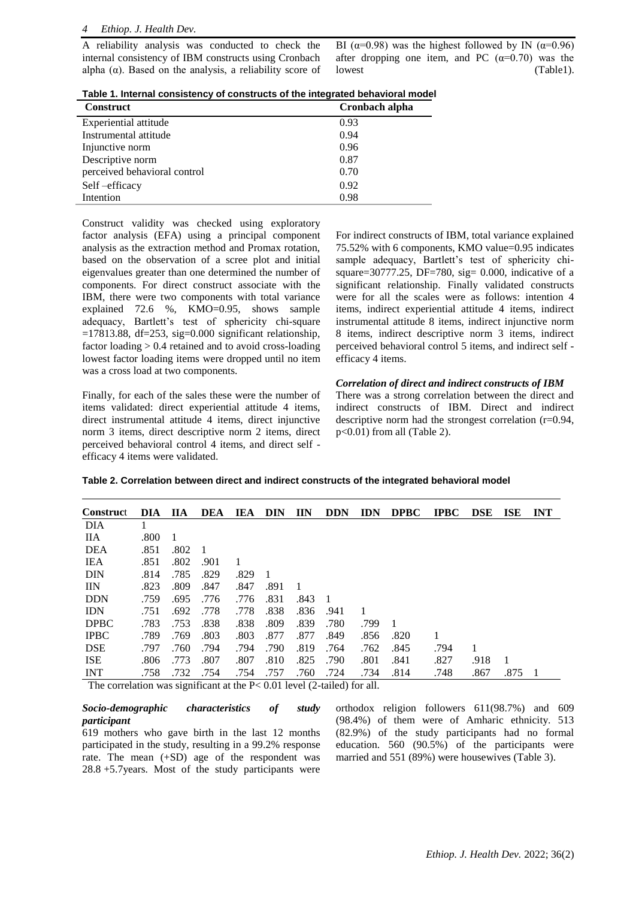A reliability analysis was conducted to check the internal consistency of IBM constructs using Cronbach alpha  $(\alpha)$ . Based on the analysis, a reliability score of BI ( $\alpha$ =0.98) was the highest followed by IN ( $\alpha$ =0.96) after dropping one item, and PC  $(\alpha=0.70)$  was the lowest (Table1).

**Table 1. Internal consistency of constructs of the integrated behavioral model**

| <b>Construct</b>             | Cronbach alpha |
|------------------------------|----------------|
| Experiential attitude        | 0.93           |
| Instrumental attitude        | 0.94           |
| Injunctive norm              | 0.96           |
| Descriptive norm             | 0.87           |
| perceived behavioral control | 0.70           |
| Self-efficacy                | 0.92           |
| Intention                    | 0.98           |

Construct validity was checked using exploratory factor analysis (EFA) using a principal component analysis as the extraction method and Promax rotation, based on the observation of a scree plot and initial eigenvalues greater than one determined the number of components. For direct construct associate with the IBM, there were two components with total variance explained 72.6 %, KMO=0.95, shows sample adequacy, Bartlett's test of sphericity chi-square  $=17813.88$ , df=253, sig=0.000 significant relationship, factor loading > 0.4 retained and to avoid cross-loading lowest factor loading items were dropped until no item was a cross load at two components.

Finally, for each of the sales these were the number of items validated: direct experiential attitude 4 items, direct instrumental attitude 4 items, direct injunctive norm 3 items, direct descriptive norm 2 items, direct perceived behavioral control 4 items, and direct self efficacy 4 items were validated.

For indirect constructs of IBM, total variance explained 75.52% with 6 components, KMO value=0.95 indicates sample adequacy, Bartlett's test of sphericity chisquare=30777.25, DF=780, sig=  $0.000$ , indicative of a significant relationship. Finally validated constructs were for all the scales were as follows: intention 4 items, indirect experiential attitude 4 items, indirect instrumental attitude 8 items, indirect injunctive norm 8 items, indirect descriptive norm 3 items, indirect perceived behavioral control 5 items, and indirect self efficacy 4 items.

### *Correlation of direct and indirect constructs of IBM*

There was a strong correlation between the direct and indirect constructs of IBM. Direct and indirect descriptive norm had the strongest correlation (r=0.94, p<0.01) from all (Table 2).

|  | Table 2. Correlation between direct and indirect constructs of the integrated behavioral model |  |  |  |  |  |  |  |  |
|--|------------------------------------------------------------------------------------------------|--|--|--|--|--|--|--|--|
|--|------------------------------------------------------------------------------------------------|--|--|--|--|--|--|--|--|

| <b>Construct</b> | DIA. | <b>IIA</b> | <b>DEA</b> | IEA  | <b>DIN</b> | IIN  | <b>DDN</b> | <b>IDN</b> | <b>DPBC</b> | <b>IPBC</b> | <b>DSE</b> | <b>ISE</b> | <b>INT</b> |
|------------------|------|------------|------------|------|------------|------|------------|------------|-------------|-------------|------------|------------|------------|
| DIA              |      |            |            |      |            |      |            |            |             |             |            |            |            |
| <b>IIA</b>       | .800 | 1          |            |      |            |      |            |            |             |             |            |            |            |
| <b>DEA</b>       | .851 | .802       |            |      |            |      |            |            |             |             |            |            |            |
| IEA              | .851 | .802       | .901       | 1    |            |      |            |            |             |             |            |            |            |
| <b>DIN</b>       | .814 | .785       | .829       | .829 |            |      |            |            |             |             |            |            |            |
| <b>IIN</b>       | .823 | .809       | .847       | .847 | .891       |      |            |            |             |             |            |            |            |
| <b>DDN</b>       | .759 | .695       | .776       | .776 | .831       | .843 | - 1        |            |             |             |            |            |            |
| <b>IDN</b>       | .751 | .692       | .778       | .778 | .838       | .836 | .941       |            |             |             |            |            |            |
| <b>DPBC</b>      | .783 | .753       | .838       | .838 | .809       | .839 | .780       | .799       |             |             |            |            |            |
| <b>IPBC</b>      | .789 | .769       | .803       | .803 | .877       | .877 | .849       | .856       | .820        |             |            |            |            |
| <b>DSE</b>       | .797 | .760       | .794       | .794 | .790       | .819 | .764       | .762       | .845        | .794        |            |            |            |
| <b>ISE</b>       | .806 | .773       | .807       | .807 | .810       | .825 | .790       | .801       | .841        | .827        | .918       |            |            |
| <b>INT</b>       | .758 | .732       | .754       | .754 | .757       | .760 | .724       | .734       | .814        | .748        | .867       | .875       |            |

The correlation was significant at the P< 0.01 level (2-tailed) for all.

# *Socio-demographic characteristics of study participant*

619 mothers who gave birth in the last 12 months participated in the study, resulting in a 99.2% response rate. The mean (+SD) age of the respondent was 28.8 +5.7years. Most of the study participants were orthodox religion followers 611(98.7%) and 609 (98.4%) of them were of Amharic ethnicity. 513 (82.9%) of the study participants had no formal education. 560 (90.5%) of the participants were married and 551 (89%) were housewives (Table 3).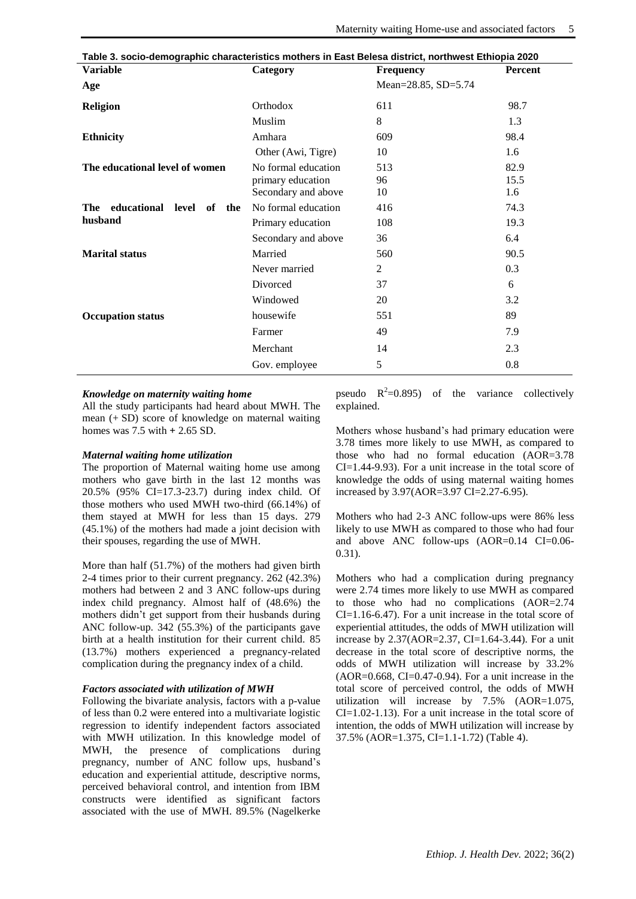| Table 3. socio-demographic characteristics mothers in East Belesa district, northwest Ethiopia 2020 |                     |                     |                |  |  |  |  |
|-----------------------------------------------------------------------------------------------------|---------------------|---------------------|----------------|--|--|--|--|
| <b>Variable</b>                                                                                     | Category            | <b>Frequency</b>    | <b>Percent</b> |  |  |  |  |
| Age                                                                                                 |                     | Mean=28.85, SD=5.74 |                |  |  |  |  |
| <b>Religion</b>                                                                                     | Orthodox            | 611                 | 98.7           |  |  |  |  |
|                                                                                                     | Muslim              | 8                   | 1.3            |  |  |  |  |
| <b>Ethnicity</b>                                                                                    | Amhara              | 609                 | 98.4           |  |  |  |  |
|                                                                                                     | Other (Awi, Tigre)  | 10                  | 1.6            |  |  |  |  |
| The educational level of women                                                                      | No formal education | 513                 | 82.9           |  |  |  |  |
|                                                                                                     | primary education   | 96                  | 15.5           |  |  |  |  |
|                                                                                                     | Secondary and above | 10                  | 1.6            |  |  |  |  |
| educational level<br>The<br>of<br>the                                                               | No formal education | 416                 | 74.3           |  |  |  |  |
| husband                                                                                             | Primary education   | 108                 | 19.3           |  |  |  |  |
|                                                                                                     | Secondary and above | 36                  | 6.4            |  |  |  |  |
| <b>Marital status</b>                                                                               | Married             | 560                 | 90.5           |  |  |  |  |
|                                                                                                     | Never married       | $\overline{2}$      | 0.3            |  |  |  |  |
|                                                                                                     | Divorced            | 37                  | 6              |  |  |  |  |
|                                                                                                     | Windowed            | 20                  | 3.2            |  |  |  |  |
| <b>Occupation status</b>                                                                            | housewife           | 551                 | 89             |  |  |  |  |
|                                                                                                     | Farmer              | 49                  | 7.9            |  |  |  |  |
|                                                                                                     | Merchant            | 14                  | 2.3            |  |  |  |  |
|                                                                                                     | Gov. employee       | 5                   | 0.8            |  |  |  |  |

#### *Knowledge on maternity waiting home*

All the study participants had heard about MWH. The mean (+ SD) score of knowledge on maternal waiting homes was 7.5 with **+** 2.65 SD.

## *Maternal waiting home utilization*

The proportion of Maternal waiting home use among mothers who gave birth in the last 12 months was 20.5% (95% CI=17.3-23.7) during index child. Of those mothers who used MWH two-third (66.14%) of them stayed at MWH for less than 15 days. 279 (45.1%) of the mothers had made a joint decision with their spouses, regarding the use of MWH.

More than half (51.7%) of the mothers had given birth 2-4 times prior to their current pregnancy. 262 (42.3%) mothers had between 2 and 3 ANC follow-ups during index child pregnancy. Almost half of (48.6%) the mothers didn't get support from their husbands during ANC follow-up. 342 (55.3%) of the participants gave birth at a health institution for their current child. 85 (13.7%) mothers experienced a pregnancy-related complication during the pregnancy index of a child.

### *Factors associated with utilization of MWH*

Following the bivariate analysis, factors with a p-value of less than 0.2 were entered into a multivariate logistic regression to identify independent factors associated with MWH utilization. In this knowledge model of MWH, the presence of complications during pregnancy, number of ANC follow ups, husband's education and experiential attitude, descriptive norms, perceived behavioral control, and intention from IBM constructs were identified as significant factors associated with the use of MWH. 89.5% (Nagelkerke

pseudo  $R^2=0.895$ ) of the variance collectively explained.

Mothers whose husband's had primary education were 3.78 times more likely to use MWH, as compared to those who had no formal education (AOR=3.78 CI=1.44-9.93). For a unit increase in the total score of knowledge the odds of using maternal waiting homes increased by 3.97(AOR=3.97 CI=2.27-6.95).

Mothers who had 2-3 ANC follow-ups were 86% less likely to use MWH as compared to those who had four and above ANC follow-ups (AOR=0.14 CI=0.06- 0.31).

Mothers who had a complication during pregnancy were 2.74 times more likely to use MWH as compared to those who had no complications (AOR=2.74 CI=1.16-6.47). For a unit increase in the total score of experiential attitudes, the odds of MWH utilization will increase by 2.37(AOR=2.37, CI=1.64-3.44). For a unit decrease in the total score of descriptive norms, the odds of MWH utilization will increase by 33.2%  $(AOR=0.668, CI=0.47-0.94)$ . For a unit increase in the total score of perceived control, the odds of MWH utilization will increase by 7.5% (AOR=1.075, CI=1.02-1.13). For a unit increase in the total score of intention, the odds of MWH utilization will increase by 37.5% (AOR=1.375, CI=1.1-1.72) (Table 4).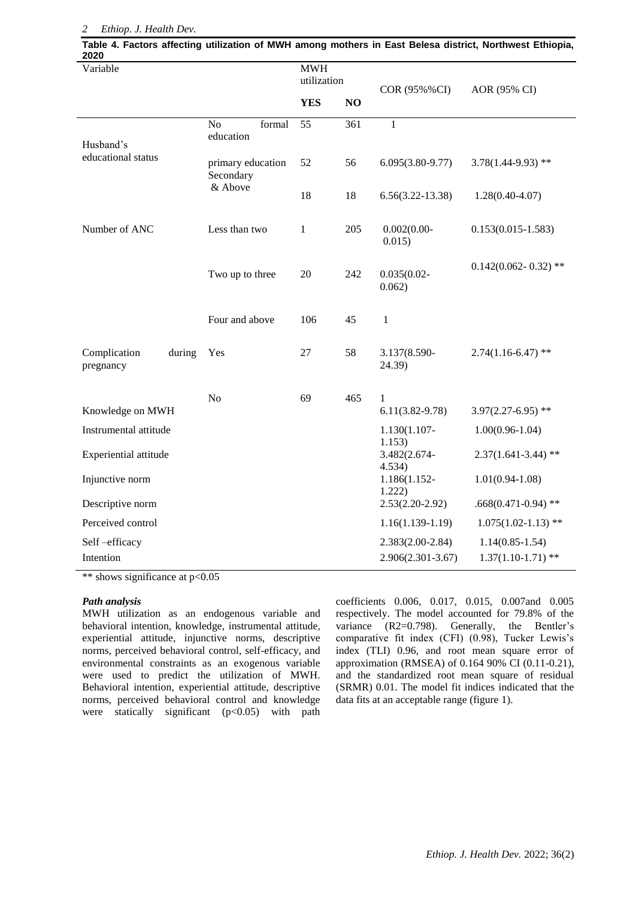#### *2 Ethiop. J. Health Dev.*

| 2020                            |                 |                                           |                           |              |                                  |                                     | Table 4. Factors affecting utilization of MWH among mothers in East Belesa district, Northwest Ethiopia, |  |
|---------------------------------|-----------------|-------------------------------------------|---------------------------|--------------|----------------------------------|-------------------------------------|----------------------------------------------------------------------------------------------------------|--|
| Variable                        |                 |                                           | <b>MWH</b><br>utilization |              | COR (95%%CI)                     | AOR (95% CI)                        |                                                                                                          |  |
|                                 |                 |                                           |                           | <b>YES</b>   | NO                               |                                     |                                                                                                          |  |
| Husband's<br>educational status |                 | No<br>education                           | formal                    | 55           | 361                              | $\mathbf{1}$                        |                                                                                                          |  |
|                                 |                 | primary education<br>Secondary<br>& Above |                           | 52           | 56                               | $6.095(3.80-9.77)$                  | $3.78(1.44 - 9.93)$ **                                                                                   |  |
|                                 |                 |                                           |                           | 18           | 18                               | $6.56(3.22 - 13.38)$                | $1.28(0.40 - 4.07)$                                                                                      |  |
| Number of ANC                   |                 | Less than two                             |                           | $\mathbf{1}$ | 205                              | $0.002(0.00 -$<br>0.015)            | $0.153(0.015 - 1.583)$                                                                                   |  |
|                                 | Two up to three |                                           | 20                        | 242          | $0.035(0.02 -$<br>0.062)         | $0.142(0.062 - 0.32)$ **            |                                                                                                          |  |
|                                 |                 | Four and above                            |                           | 106          | 45                               | $\mathbf{1}$                        |                                                                                                          |  |
| Complication<br>pregnancy       | during          | Yes                                       |                           | 27           | 58                               | 3.137(8.590-<br>24.39)              | $2.74(1.16-6.47)$ **                                                                                     |  |
| Knowledge on MWH                |                 | No                                        |                           | 69           | 465                              | $\mathbf{1}$<br>$6.11(3.82 - 9.78)$ | $3.97(2.27 - 6.95)$ **                                                                                   |  |
| Instrumental attitude           |                 |                                           |                           |              |                                  | 1.130(1.107-                        | $1.00(0.96 - 1.04)$                                                                                      |  |
| Experiential attitude           |                 |                                           |                           |              | 1.153)<br>3.482(2.674-<br>4.534) | $2.37(1.641 - 3.44)$ **             |                                                                                                          |  |
| Injunctive norm                 |                 |                                           |                           |              | 1.186(1.152-<br>1.222)           | $1.01(0.94 - 1.08)$                 |                                                                                                          |  |
| Descriptive norm                |                 |                                           |                           |              | $2.53(2.20-2.92)$                | $.668(0.471-0.94)$ **               |                                                                                                          |  |
| Perceived control               |                 |                                           |                           |              | $1.16(1.139-1.19)$               | $1.075(1.02 - 1.13)$ **             |                                                                                                          |  |
| Self-efficacy                   |                 |                                           |                           |              |                                  | $2.383(2.00-2.84)$                  | $1.14(0.85 - 1.54)$                                                                                      |  |
| Intention                       |                 |                                           |                           |              |                                  | 2.906(2.301-3.67)                   | $1.37(1.10-1.71)$ **                                                                                     |  |

\*\* shows significance at p<0.05

#### *Path analysis*

MWH utilization as an endogenous variable and behavioral intention, knowledge, instrumental attitude, experiential attitude, injunctive norms, descriptive norms, perceived behavioral control, self-efficacy, and environmental constraints as an exogenous variable were used to predict the utilization of MWH. Behavioral intention, experiential attitude, descriptive norms, perceived behavioral control and knowledge were statically significant  $(p<0.05)$  with path coefficients 0.006, 0.017, 0.015, 0.007and 0.005 respectively. The model accounted for 79.8% of the variance (R2=0.798). Generally, the Bentler's comparative fit index (CFI) (0.98), Tucker Lewis's index (TLI) 0.96, and root mean square error of approximation (RMSEA) of 0.164 90% CI (0.11-0.21), and the standardized root mean square of residual (SRMR) 0.01. The model fit indices indicated that the data fits at an acceptable range (figure 1).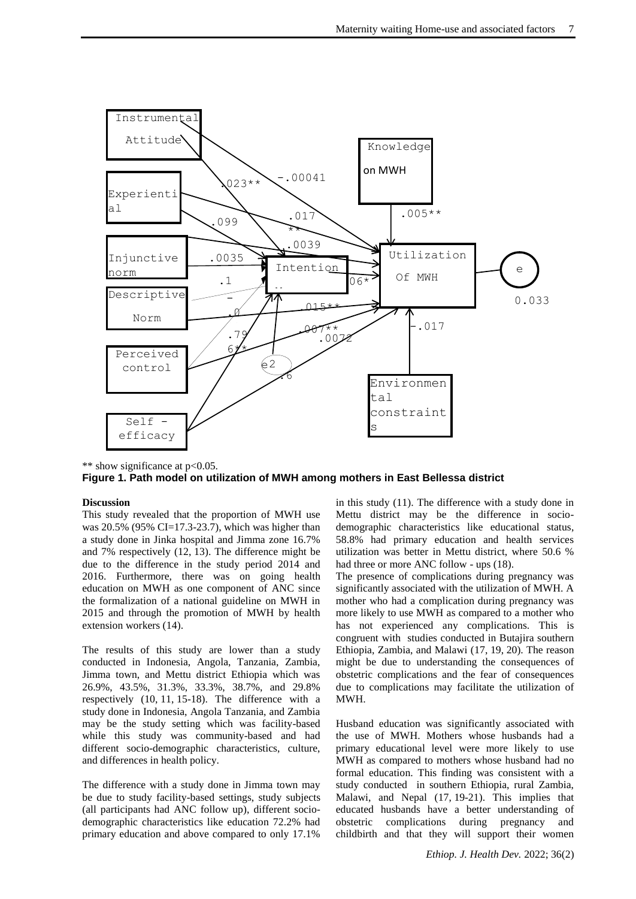

\*\* show significance at p<0.05. **Figure 1. Path model on utilization of MWH among mothers in East Bellessa district**

#### **Discussion**

This study revealed that the proportion of MWH use was 20.5% (95% CI=17.3-23.7), which was higher than a study done in Jinka hospital and Jimma zone 16.7% and 7% respectively [\(12,](https://docs.google.com/document/d/1_-JhNZ7AFwzEz7lM2wKvu2m9FeaugsLIImSS9F3JYzE/edit#heading=h.lnxbz9) [13\)](https://docs.google.com/document/d/1_-JhNZ7AFwzEz7lM2wKvu2m9FeaugsLIImSS9F3JYzE/edit#heading=h.35nkun2). The difference might be due to the difference in the study period 2014 and 2016. Furthermore, there was on going health education on MWH as one component of ANC since the formalization of a national guideline on MWH in 2015 and through the promotion of MWH by health extension workers [\(14\)](https://docs.google.com/document/d/1_-JhNZ7AFwzEz7lM2wKvu2m9FeaugsLIImSS9F3JYzE/edit#heading=h.1ksv4uv).

The results of this study are lower than a study conducted in Indonesia, Angola, Tanzania, Zambia, Jimma town, and Mettu district Ethiopia which was 26.9%, 43.5%, 31.3%, 33.3%, 38.7%, and 29.8% respectively [\(10,](https://docs.google.com/document/d/1_-JhNZ7AFwzEz7lM2wKvu2m9FeaugsLIImSS9F3JYzE/edit#heading=h.3rdcrjn) [11,](https://docs.google.com/document/d/1_-JhNZ7AFwzEz7lM2wKvu2m9FeaugsLIImSS9F3JYzE/edit#heading=h.26in1rg) [15-18\)](https://docs.google.com/document/d/1_-JhNZ7AFwzEz7lM2wKvu2m9FeaugsLIImSS9F3JYzE/edit#heading=h.44sinio). The difference with a study done in Indonesia, Angola Tanzania, and Zambia may be the study setting which was facility-based while this study was community-based and had different socio-demographic characteristics, culture, and differences in health policy.

The difference with a study done in Jimma town may be due to study facility-based settings, study subjects (all participants had ANC follow up), different sociodemographic characteristics like education 72.2% had primary education and above compared to only 17.1%

in this study [\(11\)](https://docs.google.com/document/d/1_-JhNZ7AFwzEz7lM2wKvu2m9FeaugsLIImSS9F3JYzE/edit#heading=h.26in1rg). The difference with a study done in Mettu district may be the difference in sociodemographic characteristics like educational status, 58.8% had primary education and health services utilization was better in Mettu district, where 50.6 % had three or more ANC follow - ups [\(18\)](https://docs.google.com/document/d/1_-JhNZ7AFwzEz7lM2wKvu2m9FeaugsLIImSS9F3JYzE/edit#heading=h.3j2qqm3).

The presence of complications during pregnancy was significantly associated with the utilization of MWH. A mother who had a complication during pregnancy was more likely to use MWH as compared to a mother who has not experienced any complications. This is congruent with studies conducted in Butajira southern Ethiopia, Zambia, and Malawi [\(17,](https://docs.google.com/document/d/1_-JhNZ7AFwzEz7lM2wKvu2m9FeaugsLIImSS9F3JYzE/edit#heading=h.z337ya) [19,](https://docs.google.com/document/d/1_-JhNZ7AFwzEz7lM2wKvu2m9FeaugsLIImSS9F3JYzE/edit#heading=h.1y810tw) [20\)](https://docs.google.com/document/d/1_-JhNZ7AFwzEz7lM2wKvu2m9FeaugsLIImSS9F3JYzE/edit#heading=h.4i7ojhp). The reason might be due to understanding the consequences of obstetric complications and the fear of consequences due to complications may facilitate the utilization of MWH.

Husband education was significantly associated with the use of MWH. Mothers whose husbands had a primary educational level were more likely to use MWH as compared to mothers whose husband had no formal education. This finding was consistent with a study conducted in southern Ethiopia, rural Zambia, Malawi, and Nepal [\(17,](https://docs.google.com/document/d/1_-JhNZ7AFwzEz7lM2wKvu2m9FeaugsLIImSS9F3JYzE/edit#heading=h.z337ya) [19-21\)](https://docs.google.com/document/d/1_-JhNZ7AFwzEz7lM2wKvu2m9FeaugsLIImSS9F3JYzE/edit#heading=h.1y810tw). This implies that educated husbands have a better understanding of obstetric complications during pregnancy and childbirth and that they will support their women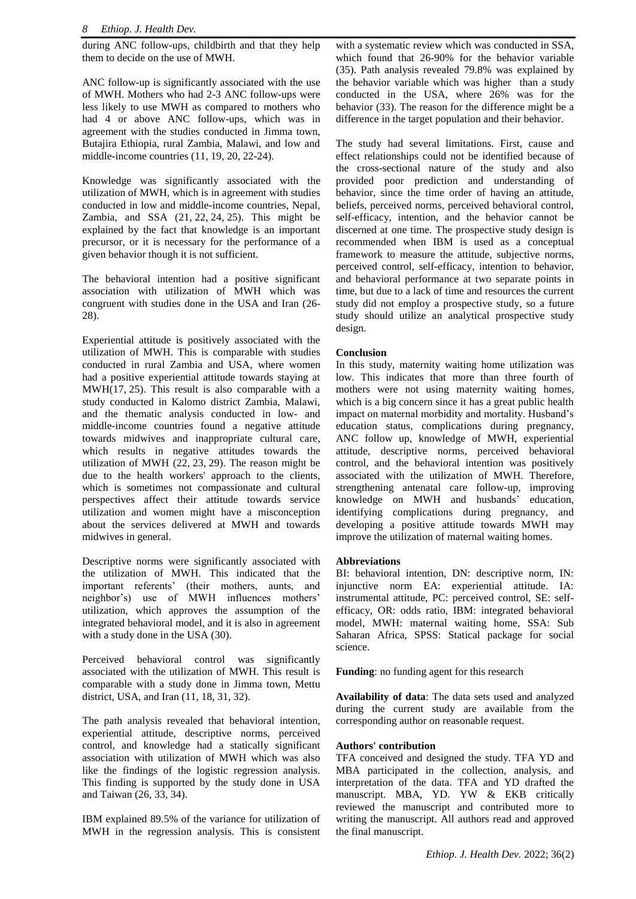during ANC follow-ups, childbirth and that they help them to decide on the use of MWH.

ANC follow-up is significantly associated with the use of MWH. Mothers who had 2-3 ANC follow-ups were less likely to use MWH as compared to mothers who had 4 or above ANC follow-ups, which was in agreement with the studies conducted in Jimma town, Butajira Ethiopia, rural Zambia, Malawi, and low and middle-income countries [\(11,](https://docs.google.com/document/d/1_-JhNZ7AFwzEz7lM2wKvu2m9FeaugsLIImSS9F3JYzE/edit#heading=h.26in1rg) [19,](https://docs.google.com/document/d/1_-JhNZ7AFwzEz7lM2wKvu2m9FeaugsLIImSS9F3JYzE/edit#heading=h.1y810tw) [20,](https://docs.google.com/document/d/1_-JhNZ7AFwzEz7lM2wKvu2m9FeaugsLIImSS9F3JYzE/edit#heading=h.4i7ojhp) [22-24\)](https://docs.google.com/document/d/1_-JhNZ7AFwzEz7lM2wKvu2m9FeaugsLIImSS9F3JYzE/edit#heading=h.1ci93xb).

Knowledge was significantly associated with the utilization of MWH, which is in agreement with studies conducted in low and middle-income countries, Nepal, Zambia, and SSA [\(21,](https://docs.google.com/document/d/1_-JhNZ7AFwzEz7lM2wKvu2m9FeaugsLIImSS9F3JYzE/edit#heading=h.2xcytpi) [22,](https://docs.google.com/document/d/1_-JhNZ7AFwzEz7lM2wKvu2m9FeaugsLIImSS9F3JYzE/edit#heading=h.1ci93xb) [24,](https://docs.google.com/document/d/1_-JhNZ7AFwzEz7lM2wKvu2m9FeaugsLIImSS9F3JYzE/edit#heading=h.2bn6wsx) [25\)](https://docs.google.com/document/d/1_-JhNZ7AFwzEz7lM2wKvu2m9FeaugsLIImSS9F3JYzE/edit#heading=h.qsh70q). This might be explained by the fact that knowledge is an important precursor, or it is necessary for the performance of a given behavior though it is not sufficient.

The behavioral intention had a positive significant association with utilization of MWH which was congruent with studies done in the USA and Iran [\(26-](https://docs.google.com/document/d/1_-JhNZ7AFwzEz7lM2wKvu2m9FeaugsLIImSS9F3JYzE/edit#heading=h.3as4poj) [28\)](https://docs.google.com/document/d/1_-JhNZ7AFwzEz7lM2wKvu2m9FeaugsLIImSS9F3JYzE/edit#heading=h.3as4poj).

Experiential attitude is positively associated with the utilization of MWH. This is comparable with studies conducted in rural Zambia and USA, where women had a positive experiential attitude towards staying at MWH[\(17,](https://docs.google.com/document/d/1_-JhNZ7AFwzEz7lM2wKvu2m9FeaugsLIImSS9F3JYzE/edit#heading=h.z337ya) [25\)](https://docs.google.com/document/d/1_-JhNZ7AFwzEz7lM2wKvu2m9FeaugsLIImSS9F3JYzE/edit#heading=h.qsh70q). This result is also comparable with a study conducted in Kalomo district Zambia, Malawi, and the thematic analysis conducted in low- and middle-income countries found a negative attitude towards midwives and inappropriate cultural care, which results in negative attitudes towards the utilization of MWH [\(22,](https://docs.google.com/document/d/1_-JhNZ7AFwzEz7lM2wKvu2m9FeaugsLIImSS9F3JYzE/edit#heading=h.1ci93xb) [23,](https://docs.google.com/document/d/1_-JhNZ7AFwzEz7lM2wKvu2m9FeaugsLIImSS9F3JYzE/edit#heading=h.3whwml4) [29\)](https://docs.google.com/document/d/1_-JhNZ7AFwzEz7lM2wKvu2m9FeaugsLIImSS9F3JYzE/edit#heading=h.2p2csry). The reason might be due to the health workers' approach to the clients, which is sometimes not compassionate and cultural perspectives affect their attitude towards service utilization and women might have a misconception about the services delivered at MWH and towards midwives in general.

Descriptive norms were significantly associated with the utilization of MWH. This indicated that the important referents' (their mothers, aunts, and neighbor's) use of MWH influences mothers' utilization, which approves the assumption of the integrated behavioral model, and it is also in agreement with a study done in the USA [\(30\)](https://docs.google.com/document/d/1_-JhNZ7AFwzEz7lM2wKvu2m9FeaugsLIImSS9F3JYzE/edit#heading=h.147n2zr).

Perceived behavioral control was significantly associated with the utilization of MWH. This result is comparable with a study done in Jimma town, Mettu district, USA, and Iran [\(11,](https://docs.google.com/document/d/1_-JhNZ7AFwzEz7lM2wKvu2m9FeaugsLIImSS9F3JYzE/edit#heading=h.26in1rg) [18,](https://docs.google.com/document/d/1_-JhNZ7AFwzEz7lM2wKvu2m9FeaugsLIImSS9F3JYzE/edit#heading=h.3j2qqm3) [31,](https://docs.google.com/document/d/1_-JhNZ7AFwzEz7lM2wKvu2m9FeaugsLIImSS9F3JYzE/edit#heading=h.3o7alnk) [32\)](https://docs.google.com/document/d/1_-JhNZ7AFwzEz7lM2wKvu2m9FeaugsLIImSS9F3JYzE/edit#heading=h.23ckvvd).

The path analysis revealed that behavioral intention, experiential attitude, descriptive norms, perceived control, and knowledge had a statically significant association with utilization of MWH which was also like the findings of the logistic regression analysis. This finding is supported by the study done in USA and Taiwan [\(26,](https://docs.google.com/document/d/1_-JhNZ7AFwzEz7lM2wKvu2m9FeaugsLIImSS9F3JYzE/edit#heading=h.3as4poj) [33,](https://docs.google.com/document/d/1_-JhNZ7AFwzEz7lM2wKvu2m9FeaugsLIImSS9F3JYzE/edit#heading=h.ihv636) [34\)](https://docs.google.com/document/d/1_-JhNZ7AFwzEz7lM2wKvu2m9FeaugsLIImSS9F3JYzE/edit#heading=h.32hioqz).

IBM explained 89.5% of the variance for utilization of MWH in the regression analysis. This is consistent with a systematic review which was conducted in SSA, which found that 26-90% for the behavior variable [\(35\)](https://docs.google.com/document/d/1_-JhNZ7AFwzEz7lM2wKvu2m9FeaugsLIImSS9F3JYzE/edit#heading=h.1hmsyys). Path analysis revealed 79.8% was explained by the behavior variable which was higher than a study conducted in the USA, where 26% was for the behavior [\(33\)](https://docs.google.com/document/d/1_-JhNZ7AFwzEz7lM2wKvu2m9FeaugsLIImSS9F3JYzE/edit#heading=h.ihv636). The reason for the difference might be a difference in the target population and their behavior.

The study had several limitations. First, cause and effect relationships could not be identified because of the cross-sectional nature of the study and also provided poor prediction and understanding of behavior, since the time order of having an attitude, beliefs, perceived norms, perceived behavioral control, self-efficacy, intention, and the behavior cannot be discerned at one time. The prospective study design is recommended when IBM is used as a conceptual framework to measure the attitude, subjective norms, perceived control, self-efficacy, intention to behavior, and behavioral performance at two separate points in time, but due to a lack of time and resources the current study did not employ a prospective study, so a future study should utilize an analytical prospective study design.

# **Conclusion**

In this study, maternity waiting home utilization was low. This indicates that more than three fourth of mothers were not using maternity waiting homes, which is a big concern since it has a great public health impact on maternal morbidity and mortality. Husband's education status, complications during pregnancy, ANC follow up, knowledge of MWH, experiential attitude, descriptive norms, perceived behavioral control, and the behavioral intention was positively associated with the utilization of MWH. Therefore, strengthening antenatal care follow-up, improving knowledge on MWH and husbands' education, identifying complications during pregnancy, and developing a positive attitude towards MWH may improve the utilization of maternal waiting homes.

# **Abbreviations**

BI: behavioral intention, DN: descriptive norm, IN: injunctive norm EA: experiential attitude. IA: instrumental attitude, PC: perceived control, SE: selfefficacy, OR: odds ratio, IBM: integrated behavioral model, MWH: maternal waiting home, SSA: Sub Saharan Africa, SPSS: Statical package for social science.

**Funding**: no funding agent for this research

**Availability of data**: The data sets used and analyzed during the current study are available from the corresponding author on reasonable request.

# **Authors' contribution**

TFA conceived and designed the study. TFA YD and MBA participated in the collection, analysis, and interpretation of the data. TFA and YD drafted the manuscript. MBA, YD. YW & EKB critically reviewed the manuscript and contributed more to writing the manuscript. All authors read and approved the final manuscript.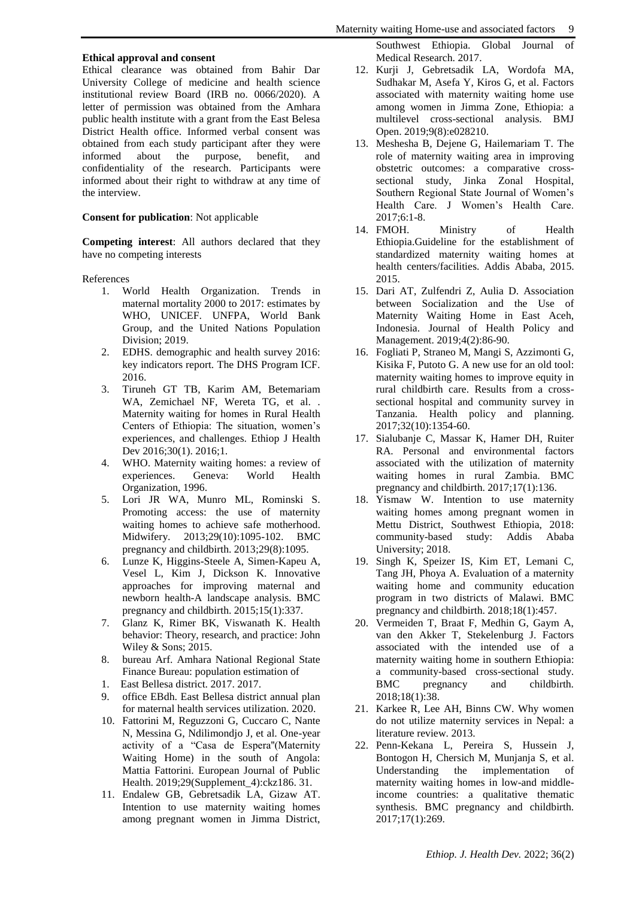#### **Ethical approval and consent**

Ethical clearance was obtained from Bahir Dar University College of medicine and health science institutional review Board (IRB no. 0066/2020). A letter of permission was obtained from the Amhara public health institute with a grant from the East Belesa District Health office. Informed verbal consent was obtained from each study participant after they were informed about the purpose, benefit, and confidentiality of the research. Participants were informed about their right to withdraw at any time of the interview.

## **Consent for publication**: Not applicable

**Competing interest**: All authors declared that they have no competing interests

References

- 1. World Health Organization. Trends in maternal mortality 2000 to 2017: estimates by WHO, UNICEF. UNFPA, World Bank Group, and the United Nations Population Division; 2019.
- 2. EDHS. demographic and health survey 2016: key indicators report. The DHS Program ICF. 2016.
- 3. Tiruneh GT TB, Karim AM, Betemariam WA, Zemichael NF, Wereta TG, et al. . Maternity waiting for homes in Rural Health Centers of Ethiopia: The situation, women's experiences, and challenges. Ethiop J Health Dev 2016;30(1). 2016;1.
- 4. WHO. Maternity waiting homes: a review of experiences. Geneva: World Health Organization, 1996.
- 5. Lori JR WA, Munro ML, Rominski S. Promoting access: the use of maternity waiting homes to achieve safe motherhood. Midwifery. 2013;29(10):1095-102. BMC pregnancy and childbirth. 2013;29(8):1095.
- 6. Lunze K, Higgins-Steele A, Simen-Kapeu A, Vesel L, Kim J, Dickson K. Innovative approaches for improving maternal and newborn health-A landscape analysis. BMC pregnancy and childbirth. 2015;15(1):337.
- 7. Glanz K, Rimer BK, Viswanath K. Health behavior: Theory, research, and practice: John Wiley & Sons; 2015.
- 8. bureau Arf. Amhara National Regional State Finance Bureau: population estimation of
- 1. East Bellesa district. 2017. 2017.
- 9. office EBdh. East Bellesa district annual plan for maternal health services utilization. 2020.
- 10. Fattorini M, Reguzzoni G, Cuccaro C, Nante N, Messina G, Ndilimondjo J, et al. One-year activity of a "Casa de Espera''(Maternity Waiting Home) in the south of Angola: Mattia Fattorini. European Journal of Public Health. 2019;29(Supplement\_4):ckz186. 31.
- 11. Endalew GB, Gebretsadik LA, Gizaw AT. Intention to use maternity waiting homes among pregnant women in Jimma District,

Southwest Ethiopia. Global Journal of Medical Research. 2017.

- 12. Kurji J, Gebretsadik LA, Wordofa MA, Sudhakar M, Asefa Y, Kiros G, et al. Factors associated with maternity waiting home use among women in Jimma Zone, Ethiopia: a multilevel cross-sectional analysis. BMJ Open. 2019;9(8):e028210.
- 13. Meshesha B, Dejene G, Hailemariam T. The role of maternity waiting area in improving obstetric outcomes: a comparative crosssectional study, Jinka Zonal Hospital, Southern Regional State Journal of Women's Health Care. J Women's Health Care. 2017;6:1-8.
- 14. FMOH. Ministry of Health Ethiopia.Guideline for the establishment of standardized maternity waiting homes at health centers/facilities. Addis Ababa, 2015. 2015.
- 15. Dari AT, Zulfendri Z, Aulia D. Association between Socialization and the Use of Maternity Waiting Home in East Aceh, Indonesia. Journal of Health Policy and Management. 2019;4(2):86-90.
- 16. Fogliati P, Straneo M, Mangi S, Azzimonti G, Kisika F, Putoto G. A new use for an old tool: maternity waiting homes to improve equity in rural childbirth care. Results from a crosssectional hospital and community survey in Tanzania. Health policy and planning. 2017;32(10):1354-60.
- 17. Sialubanje C, Massar K, Hamer DH, Ruiter RA. Personal and environmental factors associated with the utilization of maternity waiting homes in rural Zambia. BMC pregnancy and childbirth. 2017;17(1):136.
- 18. Yismaw W. Intention to use maternity waiting homes among pregnant women in Mettu District, Southwest Ethiopia, 2018: community-based study: Addis Ababa University; 2018.
- 19. Singh K, Speizer IS, Kim ET, Lemani C, Tang JH, Phoya A. Evaluation of a maternity waiting home and community education program in two districts of Malawi. BMC pregnancy and childbirth. 2018;18(1):457.
- 20. Vermeiden T, Braat F, Medhin G, Gaym A, van den Akker T, Stekelenburg J. Factors associated with the intended use of a maternity waiting home in southern Ethiopia: a community-based cross-sectional study.<br>BMC pregnancy and childbirth. BMC pregnancy and 2018;18(1):38.
- 21. Karkee R, Lee AH, Binns CW. Why women do not utilize maternity services in Nepal: a literature review. 2013.
- 22. Penn-Kekana L, Pereira S, Hussein J, Bontogon H, Chersich M, Munjanja S, et al. Understanding the implementation of maternity waiting homes in low-and middleincome countries: a qualitative thematic synthesis. BMC pregnancy and childbirth. 2017;17(1):269.